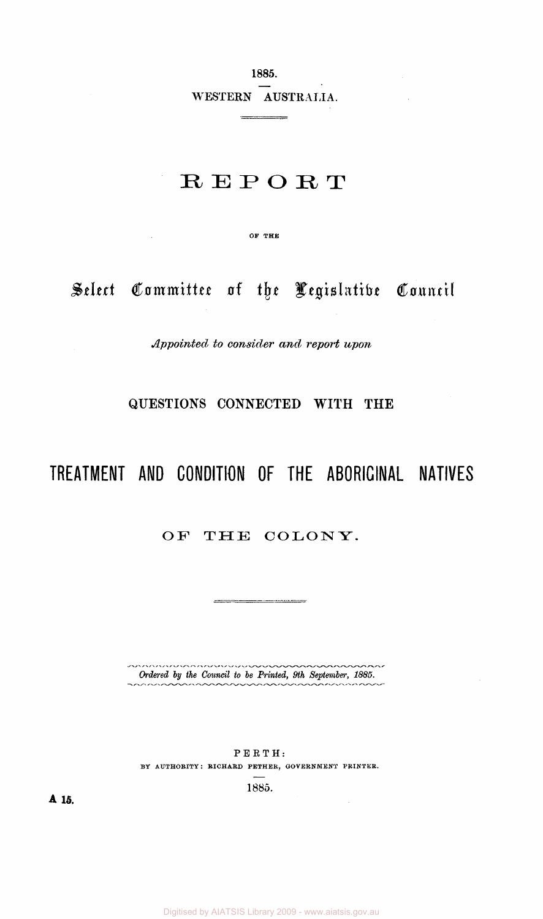**1885.**  WESTERN **AUSTRALIA.** 

 $\sim 10$ 

# **REPORT**

**OF** THE

 $\sim 10^{-11}$ 

*Select Committee of the Legislative Council* 

*Appointed to consider and, report upon* 

## **QUESTIONS CONNECTED WITH THE**

# **TREATMENT AND CONDITION OF THE ABORIGINAL NATIVES**

## OF THE COLONY.

,,,,,,,,,,,,,,,,,,,,,,,,,,,  $\sim$ *Ordered by the Council to be Printed, 9th September, 1885.*   $\sim$ mm

<u> 2001 - Johann Harrison, mars et al. (</u>

PERTH: BY AUTHORITY: RICHARD PETHER, GOVERNMENT PRINTER.

1885.

 $\mathcal{A}$ 

**A 15.**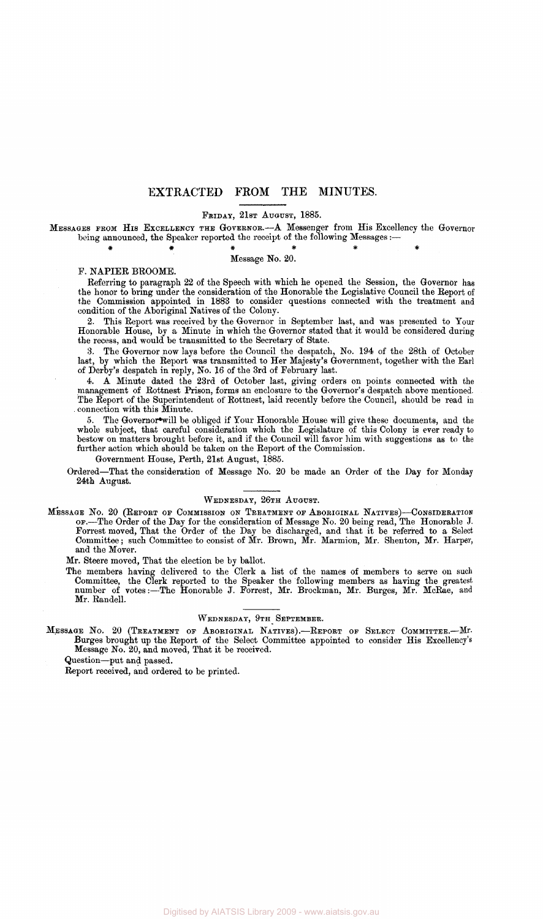### **EXTRACTED FROM THE MINUTES.**

## FRIDAY, 21ST AUGUST, 1885.

MESSAGES FROM HIS EXCELLENCY THE GOVERNOR.—A Messenger from His Excellency the Governor being announced, the Speaker reported the receipt of the following Messages:—

##### # Message No. 20.

#### P. NAPIER BROOME.

Referring to paragraph 22 of the Speech with which he opened the Session, the Governor has the honor to bring under the consideration of the Honorable the Legislative Council the Report of the Commission appointed in 1883 to consider questions connected with the treatment and condition of the Aboriginal Natives of the Colony.

2. This Report was received by the Governor in September last, and was presented to Your Honorable House, by a Minute in which the Governor stated that it would be considered during the recess, and would be transmitted to the Secretary of State.

3. The Governor now lays before the Council the despatch, No. 194 of the 28th of October last, by which the Report was transmitted to Her Majesty's Government, together with the Earl of Derby's despatch in reply, No. 16 of the 3rd of February last.

4. A Minute dated the 23rd of October last, giving orders on points connected with the management of Rottnest Prison, forms an enclosure to the Governor's despatch above mentioned. The Report of the Superintendent of Rottnest, laid recently before the Council, should be read in connection with this Minute.

5. The Governor\*will be obliged if Your Honorable House will give these documents, and the whole subject, that careful consideration which the Legislature of this Colony is ever ready to bestow on matters brought before it, and if the Council will favor him with suggestions as to the further action which should be taken on the Report of the Commission.

Government House, Perth, 21st August, 1885.

Ordered—That the consideration of Message No. 20 be made an Order of the Day for Monday 24th August.

### WEDNESDAY, 26TH AUGUST.

MESSAGE No. 20 (REPORT OP COMMISSION ON TREATMENT OF ABORIGINAL NATIVES)—CONSIDERATION OF.—The Order of the Day for the consideration of Message No. 20 being read, The Honorable J. Forrest moved, That the Order of the Day be discharged, and that it be referred to a Select Committee; such Committee to consist of Mr. Brown, Mr. Marmion, Mr. Shenton, Mr. Harper, and the Mover.

Mr. Steere moved, That the election be by ballot.

The members having delivered to the Clerk a list of the names of members to serve on such Committee, the Clerk reported to the Speaker the following members as having the greatest number of votes:--The Honorable J. Forrest, Mr. Brockman, Mr. Burges, Mr. McRae, and Mr. Randell.

### WEDNESDAY, 9TH SEPTEMBER.

MESSAGE No. 20 (TREATMENT OF ABORIGINAL NATIVES) .—REPORT OF SELECT COMMITTEE.—Mr. Burges brought up the Report of the Select Committee appointed to consider His Excellency's Message No. 20, and moved, That it be received.

Question—put and passed.

Report received, and ordered to be printed.